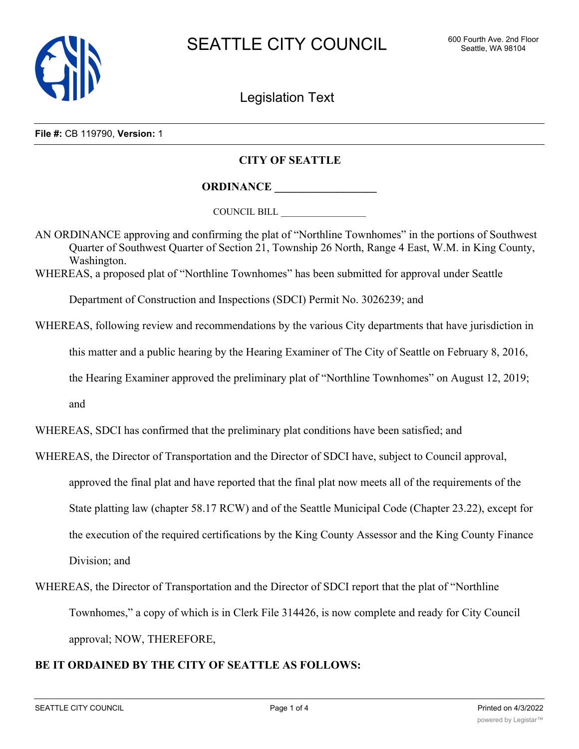

Legislation Text

## **File #:** CB 119790, **Version:** 1

## **CITY OF SEATTLE**

**ORDINANCE \_\_\_\_\_\_\_\_\_\_\_\_\_\_\_\_\_\_**

COUNCIL BILL \_\_\_\_\_\_\_\_\_\_\_\_\_\_\_\_\_\_

AN ORDINANCE approving and confirming the plat of "Northline Townhomes" in the portions of Southwest Quarter of Southwest Quarter of Section 21, Township 26 North, Range 4 East, W.M. in King County, Washington.

WHEREAS, a proposed plat of "Northline Townhomes" has been submitted for approval under Seattle

Department of Construction and Inspections (SDCI) Permit No. 3026239; and

WHEREAS, following review and recommendations by the various City departments that have jurisdiction in

this matter and a public hearing by the Hearing Examiner of The City of Seattle on February 8, 2016,

the Hearing Examiner approved the preliminary plat of "Northline Townhomes" on August 12, 2019;

and

WHEREAS, SDCI has confirmed that the preliminary plat conditions have been satisfied; and

- WHEREAS, the Director of Transportation and the Director of SDCI have, subject to Council approval, approved the final plat and have reported that the final plat now meets all of the requirements of the State platting law (chapter 58.17 RCW) and of the Seattle Municipal Code (Chapter 23.22), except for the execution of the required certifications by the King County Assessor and the King County Finance Division; and
- WHEREAS, the Director of Transportation and the Director of SDCI report that the plat of "Northline Townhomes," a copy of which is in Clerk File 314426, is now complete and ready for City Council approval; NOW, THEREFORE,

## **BE IT ORDAINED BY THE CITY OF SEATTLE AS FOLLOWS:**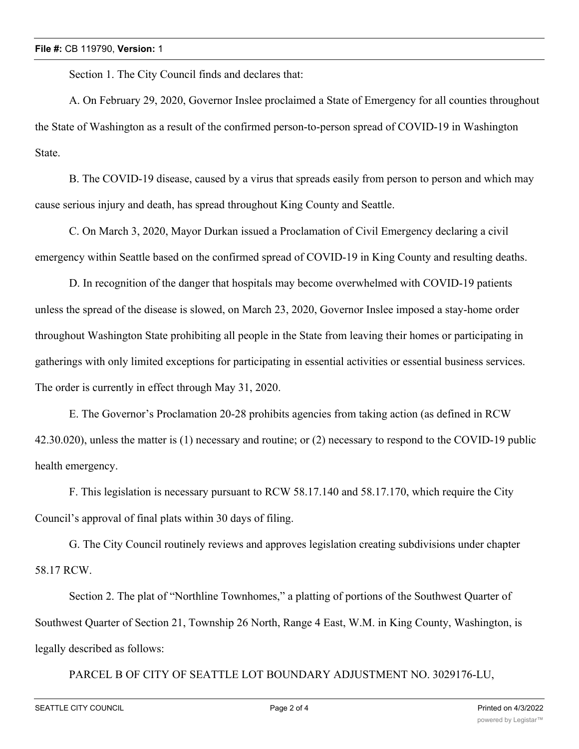Section 1. The City Council finds and declares that:

A. On February 29, 2020, Governor Inslee proclaimed a State of Emergency for all counties throughout the State of Washington as a result of the confirmed person-to-person spread of COVID-19 in Washington State.

B. The COVID-19 disease, caused by a virus that spreads easily from person to person and which may cause serious injury and death, has spread throughout King County and Seattle.

C. On March 3, 2020, Mayor Durkan issued a Proclamation of Civil Emergency declaring a civil emergency within Seattle based on the confirmed spread of COVID-19 in King County and resulting deaths.

D. In recognition of the danger that hospitals may become overwhelmed with COVID-19 patients unless the spread of the disease is slowed, on March 23, 2020, Governor Inslee imposed a stay-home order throughout Washington State prohibiting all people in the State from leaving their homes or participating in gatherings with only limited exceptions for participating in essential activities or essential business services. The order is currently in effect through May 31, 2020.

E. The Governor's Proclamation 20-28 prohibits agencies from taking action (as defined in RCW 42.30.020), unless the matter is (1) necessary and routine; or (2) necessary to respond to the COVID-19 public health emergency.

F. This legislation is necessary pursuant to RCW 58.17.140 and 58.17.170, which require the City Council's approval of final plats within 30 days of filing.

G. The City Council routinely reviews and approves legislation creating subdivisions under chapter 58.17 RCW.

Section 2. The plat of "Northline Townhomes," a platting of portions of the Southwest Quarter of Southwest Quarter of Section 21, Township 26 North, Range 4 East, W.M. in King County, Washington, is legally described as follows:

PARCEL B OF CITY OF SEATTLE LOT BOUNDARY ADJUSTMENT NO. 3029176-LU,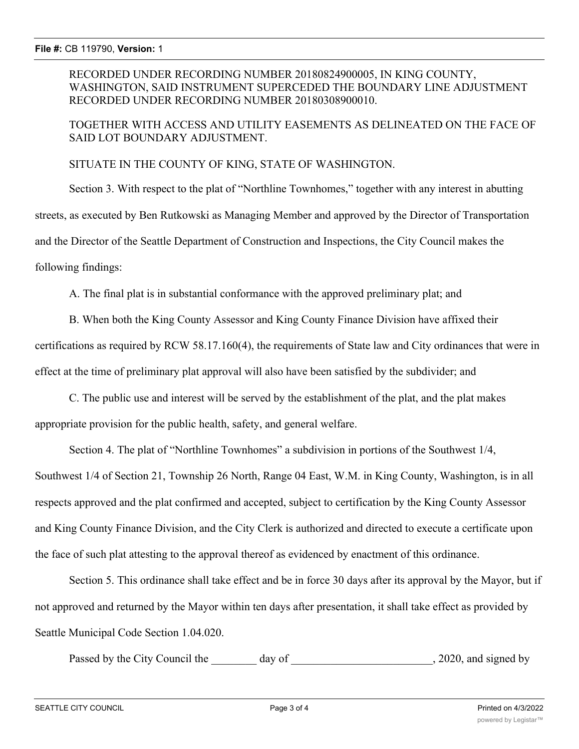RECORDED UNDER RECORDING NUMBER 20180824900005, IN KING COUNTY, WASHINGTON, SAID INSTRUMENT SUPERCEDED THE BOUNDARY LINE ADJUSTMENT RECORDED UNDER RECORDING NUMBER 20180308900010.

TOGETHER WITH ACCESS AND UTILITY EASEMENTS AS DELINEATED ON THE FACE OF SAID LOT BOUNDARY ADJUSTMENT.

SITUATE IN THE COUNTY OF KING, STATE OF WASHINGTON.

Section 3. With respect to the plat of "Northline Townhomes," together with any interest in abutting streets, as executed by Ben Rutkowski as Managing Member and approved by the Director of Transportation and the Director of the Seattle Department of Construction and Inspections, the City Council makes the following findings:

A. The final plat is in substantial conformance with the approved preliminary plat; and

B. When both the King County Assessor and King County Finance Division have affixed their certifications as required by RCW 58.17.160(4), the requirements of State law and City ordinances that were in effect at the time of preliminary plat approval will also have been satisfied by the subdivider; and

C. The public use and interest will be served by the establishment of the plat, and the plat makes appropriate provision for the public health, safety, and general welfare.

Section 4. The plat of "Northline Townhomes" a subdivision in portions of the Southwest 1/4, Southwest 1/4 of Section 21, Township 26 North, Range 04 East, W.M. in King County, Washington, is in all respects approved and the plat confirmed and accepted, subject to certification by the King County Assessor and King County Finance Division, and the City Clerk is authorized and directed to execute a certificate upon the face of such plat attesting to the approval thereof as evidenced by enactment of this ordinance.

Section 5. This ordinance shall take effect and be in force 30 days after its approval by the Mayor, but if not approved and returned by the Mayor within ten days after presentation, it shall take effect as provided by Seattle Municipal Code Section 1.04.020.

Passed by the City Council the \_\_\_\_\_\_\_ day of \_\_\_\_\_\_\_\_\_\_\_\_\_\_\_\_\_\_\_\_\_\_\_\_\_, 2020, and signed by